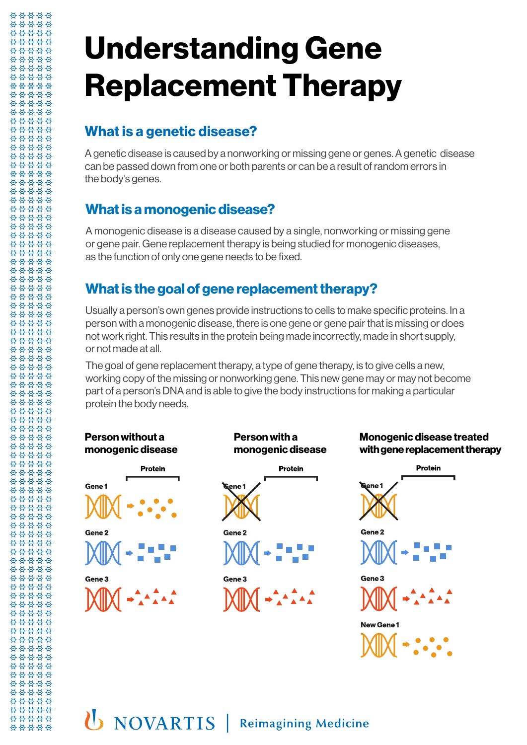# **Understanding Gene Replacement Therapy**

#### **What is a genetic disease?**

\*\*\*\*\* \*\*\*\*\* 88888 \*\*\*\*\* 88888 88888 \*\*\*\*\* \*\*\*\*\* 88888 88888 \*\*\*\*\* \*\*\*\*\* 88888 00000 \*\*\*\*\* 88888 88888 88888 \*\*\*\*\* \*\*\*\*\* 88888 88888 \*\*\*\*\* \$\$\$\$\$ \*\*\*\*\* \*\*\*\*\* 88888 \*\*\*\*\* 88888 88888 88888 \*\*\*\*\* 88888 \*\*\*\*\* \*\*\*\*\* \*\*\*\*\* \*\*\*\*\* \*\*\*\*\* \*\*\*\*\* 88888 88888 \*\*\*\*\* \*\*\*\*\* 88888 88888 \*\*\*\*\* \*\*\*\*\* \*\*\*\*\* 88888 \*\*\*\*\* 88888 \*\*\*\*\*

88888 \*\*\*\*\*

88888 \*\*\*\*\* \*\*\*\*\* \*\*\*\*\* \*\*\*\*\*

\*\*\*\*\* 유 요 요 요 요 88888 \*\*\*\*\* 88888 \*\*\*\*\*

00000 \*\*\*\*\* \*\*\*\*\* \*\*\*\*\* \*\*\*\*\*

\*\*\*\*\* \*\*\*\*\* 88888 \*\*\*\*\* 88888 \*\*\*\*\* \*\*\*\*\* \*\*\*\*\* 00000 \*\*\*\*\*

88888 00000

A genetic disease is caused by a nonworking or missing gene or genes. A genetic disease can be passed down from one or both parents or can be a result of random errors in the body's genes.

#### **What is a monogenic disease?**

A monogenic disease is a disease caused by a single, nonworking or missing gene or gene pair. Gene replacement therapy is being studied for monogenic diseases, as the function of only one gene needs to be fixed.

#### **What is the goal of gene replacement therapy?**

Usually a person's own genes provide instructions to cells to make specific proteins. In a person with a monogenic disease, there is one gene or gene pair that is missing or does not work right. This results in the protein being made incorrectly, made in short supply, or not made at all.

The goal of gene replacement therapy, a type of gene therapy, is to give cells a new, working copy of the missing or nonworking gene. This new gene may or may not become part of a person's DNA and is able to give the body instructions for making a particular protein the body needs.





#### **Person with a monogenic disease**





**Monogenic disease treated with gene replacement therapy**

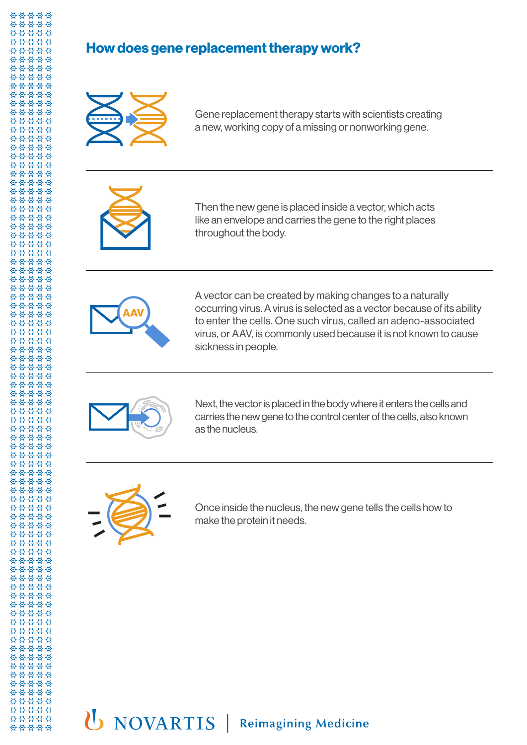#### **How does gene replacement therapy work?**



Gene replacement therapy starts with scientists creating a new, working copy of a missing or nonworking gene.



Then the new gene is placed inside a vector, which acts like an envelope and carries the gene to the right places throughout the body.



A vector can be created by making changes to a naturally occurring virus. A virus is selected as a vector because of its ability to enter the cells. One such virus, called an adeno-associated virus, or AAV, is commonly used because it is not known to cause sickness in people.



Next, the vector is placed in the body where it enters the cells and carries the new gene to the control center of the cells, also known as the nucleus.



Once inside the nucleus, the new gene tells the cells how to make the protein it needs.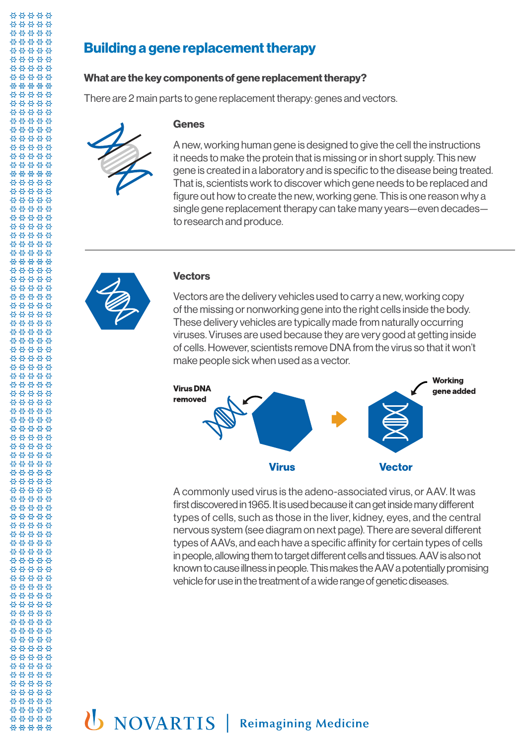#### **Building a gene replacement therapy**

**Genes**

#### **What are the key components of gene replacement therapy?**

There are 2 main parts to gene replacement therapy: genes and vectors.

A new, working human gene is designed to give the cell the instructions it needs to make the protein that is missing or in short supply. This new gene is created in a laboratory and is specific to the disease being treated. That is, scientists work to discover which gene needs to be replaced and figure out how to create the new, working gene. This is one reason why a single gene replacement therapy can take many years—even decades to research and produce.



#### **Vectors**

Vectors are the delivery vehicles used to carry a new, working copy of the missing or nonworking gene into the right cells inside the body. These delivery vehicles are typically made from naturally occurring viruses. Viruses are used because they are very good at getting inside of cells. However, scientists remove DNA from the virus so that it won't make people sick when used as a vector.



A commonly used virus is the adeno-associated virus, or AAV. It was first discovered in 1965. It is used because it can get inside many different types of cells, such as those in the liver, kidney, eyes, and the central nervous system (see diagram on next page). There are several different types of AAVs, and each have a specific affinity for certain types of cells in people, allowing them to target different cells and tissues. AAV is also not known to cause illness in people. This makes the AAV a potentially promising vehicle for use in the treatment of a wide range of genetic diseases.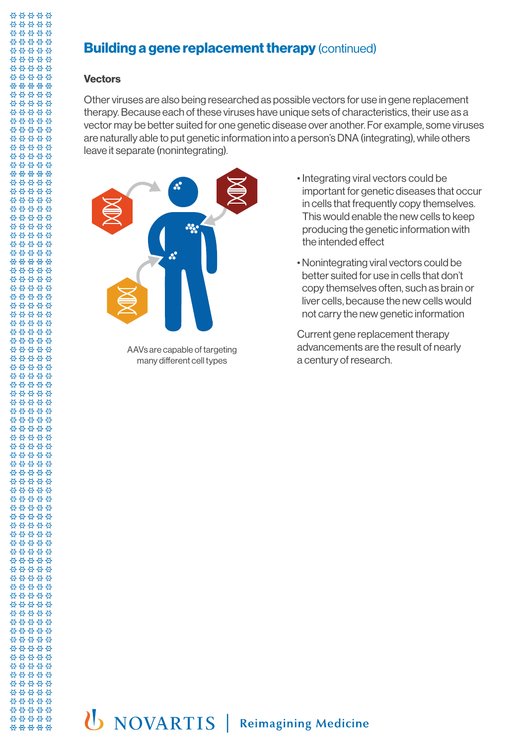#### **Building a gene replacement therapy (continued)**

#### **Vectors**

Other viruses are also being researched as possible vectors for use in gene replacement therapy. Because each of these viruses have unique sets of characteristics, their use as a vector may be better suited for one genetic disease over another. For example, some viruses are naturally able to put genetic information into a person's DNA (integrating), while others leave it separate (nonintegrating).



AAVs are capable of targeting many different cell types

- Integrating viral vectors could be important for genetic diseases that occur in cells that frequently copy themselves. This would enable the new cells to keep producing the genetic information with the intended effect
- Nonintegrating viral vectors could be better suited for use in cells that don't copy themselves often, such as brain or liver cells, because the new cells would not carry the new genetic information

Current gene replacement therapy advancements are the result of nearly a century of research.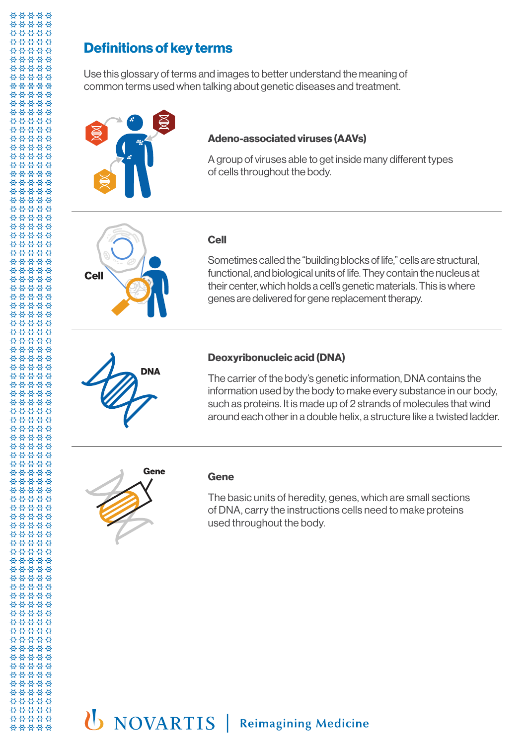#### **Definitions of key terms**

Use this glossary of terms and images to better understand the meaning of common terms used when talking about genetic diseases and treatment.



#### **Adeno-associated viruses (AAVs)**

A group of viruses able to get inside many different types of cells throughout the body.



#### **Cell**

Sometimes called the "building blocks of life," cells are structural, functional, and biological units of life. They contain the nucleus at their center, which holds a cell's genetic materials. This is where genes are delivered for gene replacement therapy.

# **DNA**

#### **Deoxyribonucleic acid (DNA)**

The carrier of the body's genetic information, DNA contains the information used by the body to make every substance in our body, such as proteins. It is made up of 2 strands of molecules that wind around each other in a double helix, a structure like a twisted ladder.



#### **Gene**

The basic units of heredity, genes, which are small sections of DNA, carry the instructions cells need to make proteins used throughout the body.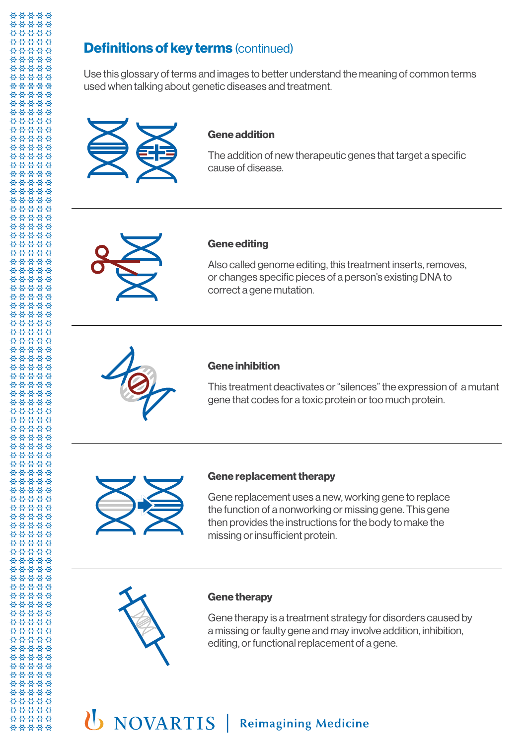#### **Definitions of key terms (continued)**

Use this glossary of terms and images to better understand the meaning of common terms used when talking about genetic diseases and treatment.



#### **Gene addition**

The addition of new therapeutic genes that target a specific cause of disease.



#### **Gene editing**

Also called genome editing, this treatment inserts, removes, or changes specific pieces of a person's existing DNA to correct a gene mutation.



#### **Gene inhibition**

This treatment deactivates or "silences" the expression of a mutant gene that codes for a toxic protein or too much protein.



#### **Gene replacement therapy**

Gene replacement uses a new, working gene to replace the function of a nonworking or missing gene. This gene then provides the instructions for the body to make the missing or insufficient protein.



#### **Gene therapy**

Gene therapy is a treatment strategy for disorders caused by a missing or faulty gene and may involve addition, inhibition, editing, or functional replacement of a gene.

### U NOVARTIS | Reimagining Medicine